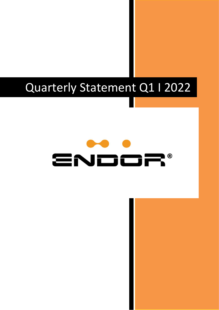## Quarterly Statement Q1 I 2022

# ENDOF **P®**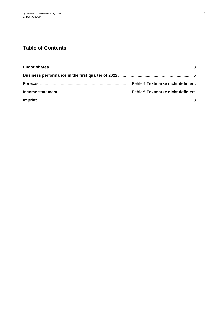### **Table of Contents**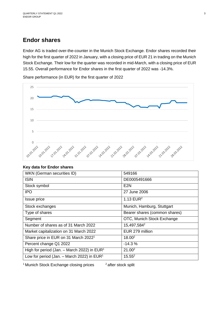## <span id="page-2-0"></span>**Endor shares**

Endor AG is traded over-the-counter in the Munich Stock Exchange. Endor shares recorded their high for the first quarter of 2022 in January, with a closing price of EUR 21 in trading on the Munich Stock Exchange. Their low for the quarter was recorded in mid-March, with a closing price of EUR 15.55. Overall performance for Endor shares in the first quarter of 2022 was -14.3%.

Share performance (in EUR) for the first quarter of 2022



| WKN (German securities ID)                       | 549166                        |
|--------------------------------------------------|-------------------------------|
| <b>ISIN</b>                                      | DE0005491666                  |
| Stock symbol                                     | E2N                           |
| <b>IPO</b>                                       | 27 June 2006                  |
| Issue price                                      | 1.13 $EUR2$                   |
| Stock exchanges                                  | Munich, Hamburg, Stuttgart    |
| Type of shares                                   | Bearer shares (common shares) |
| Segment                                          | OTC, Munich Stock Exchange    |
| Number of shares as of 31 March 2022             | 15,497,584 <sup>2</sup>       |
| Market capitalization on 31 March 2022           | EUR 279 million               |
| Share price in EUR on 31 March 2022 <sup>1</sup> | 18.00 <sup>2</sup>            |
| Percent change Q1 2022                           | $-14.3%$                      |
| High for period (Jan. - March 2022) in $EUR1$    | 21.00 <sup>2</sup>            |
| Low for period (Jan. – March 2022) in $EUR1$     | $15.55^2$                     |

<sup>1</sup> Munich Stock Exchange closing prices

<sup>2</sup> after stock split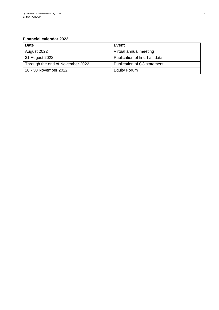#### **Financial calendar 2022**

| <b>Date</b>                      | Event                          |
|----------------------------------|--------------------------------|
| August 2022                      | Virtual annual meeting         |
| 31 August 2022                   | Publication of first-half data |
| Through the end of November 2022 | Publication of Q3 statement    |
| 28 - 30 November 2022            | <b>Equity Forum</b>            |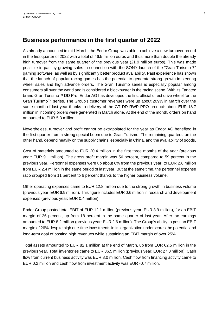## <span id="page-4-0"></span>**Business performance in the first quarter of 2022**

As already announced in mid-March, the Endor Group was able to achieve a new turnover record in the first quarter of 2022 with a total of 46.5 million euros and thus more than double the already high turnover from the same quarter of the previous year (21.9 million euros). This was made possible in part by growing sales in connection with the SONY launch of the "Gran Turismo 7" gaming software, as well as by significantly better product availability. Past experience has shown that the launch of popular racing games has the potential to generate strong growth in steering wheel sales and high advance orders. The Gran Turismo series is especially popular among consumers all over the world and is considered a blockbuster in the racing scene. With its Fanatec brand Gran Turismo™ DD Pro, Endor AG has developed the first official direct drive wheel for the Gran Turismo™ series. The Group's customer revenues were up about 209% in March over the same month of last year thanks to delivery of the GT DD RWP PRO product: about EUR 18.7 million in incoming orders were generated in March alone. At the end of the month, orders on hand amounted to EUR 5.3 million.

Nevertheless, turnover and profit cannot be extrapolated for the year as Endor AG benefited in the first quarter from a strong special boom due to Gran Turismo. The remaining quarters, on the other hand, depend heavily on the supply chains, especially in China, and the availability of goods.

Cost of materials amounted to EUR 20.4 million in the first three months of the year (previous year: EUR 9.1 million). The gross profit margin was 56 percent, compared to 59 percent in the previous year. Personnel expenses were up about 6% from the previous year, to EUR 2.6 million from EUR 2.4 million in the same period of last year. But at the same time, the personnel expense ratio dropped from 11 percent to 6 percent thanks to the higher business volume.

Other operating expenses came to EUR 12.8 million due to the strong growth in business volume (previous year: EUR 6.9 million). This figure includes EUR 0.6 million in research and development expenses (previous year: EUR 0.4 million).

Endor Group posted total EBIT of EUR 12.1 million (previous year: EUR 3.9 million), for an EBIT margin of 26 percent, up from 18 percent in the same quarter of last year. After-tax earnings amounted to EUR 8.2 million (previous year: EUR 2.6 million). The Group's ability to post an EBIT margin of 26% despite high one-time investments in its organization underscores the potential and long-term goal of posting high revenues while sustaining an EBIT margin of over 25%.

Total assets amounted to EUR 82.1 million at the end of March, up from EUR 62.5 million in the previous year. Total inventories came to EUR 36.5 million (previous year: EUR 27.0 million). Cash flow from current business activity was EUR 8.0 million. Cash flow from financing activity came to EUR 0.2 million and cash flow from investment activity was EUR -0.7 million.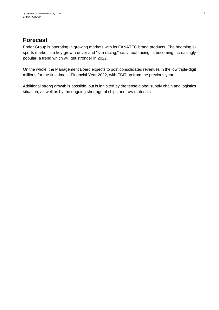## **Forecast**

Endor Group is operating in growing markets with its FANATEC brand products. The booming esports market is a key growth driver and "sim racing," i.e. virtual racing, is becoming increasingly popular: a trend which will get stronger in 2022.

On the whole, the Management Board expects to post consolidated revenues in the low triple-digit millions for the first time in Financial Year 2022, with EBIT up from the previous year.

Additional strong growth is possible, but is inhibited by the tense global supply chain and logistics situation, as well as by the ongoing shortage of chips and raw materials.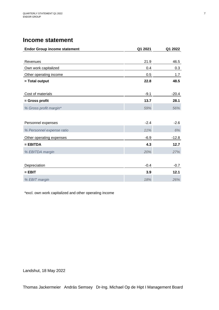## **Income statement**

| <b>Endor Group income statement</b> | Q1 2021 | Q1 2022 |
|-------------------------------------|---------|---------|
|                                     |         |         |
| Revenues                            | 21.9    | 46.5    |
| Own work capitalized                | 0.4     | 0.3     |
| Other operating income              | 0.5     | 1.7     |
| = Total output                      | 22.8    | 48.5    |
|                                     |         |         |
| Cost of materials                   | $-9.1$  | $-20.4$ |
| = Gross profit                      | 13.7    | 28.1    |
| % Gross profit margin*              | 59%     | 56%     |
|                                     |         |         |
| Personnel expenses                  | $-2.4$  | $-2.6$  |
| % Personnel expense ratio           | 11%     | 6%      |
| Other operating expenses            | $-6.9$  | $-12.8$ |
| $=$ EBITDA                          | 4.3     | 12.7    |
| % EBITDA margin                     | 20%     | 27%     |
|                                     |         |         |
| Depreciation                        | $-0.4$  | $-0.7$  |
| $=$ EBIT                            | 3.9     | 12.1    |
| % EBIT margin                       | 18%     | 26%     |

\*excl. own work capitalized and other operating income

Landshut, 18 May 2022

Thomas Jackermeier András Semsey Dr-Ing. Michael Op de Hipt I Management Board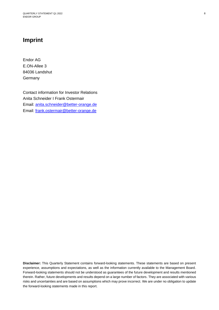## <span id="page-7-0"></span>**Imprint**

Endor AG E.ON-Allee 3 84036 Landshut **Germany** 

Contact information for Investor Relations Anita Schneider I Frank Ostermair Email: [anita.schneider@better-orange.de](mailto:anita.schneider@better-orange.de) Email: [frank.ostermair@better-orange.de](mailto:frank.ostermair@better-orange.de)

**Disclaimer:** This Quarterly Statement contains forward-looking statements. These statements are based on present experience, assumptions and expectations, as well as the information currently available to the Management Board. Forward-looking statements should not be understood as guarantees of the future development and results mentioned therein. Rather, future developments and results depend on a large number of factors. They are associated with various risks and uncertainties and are based on assumptions which may prove incorrect. We are under no obligation to update the forward-looking statements made in this report.